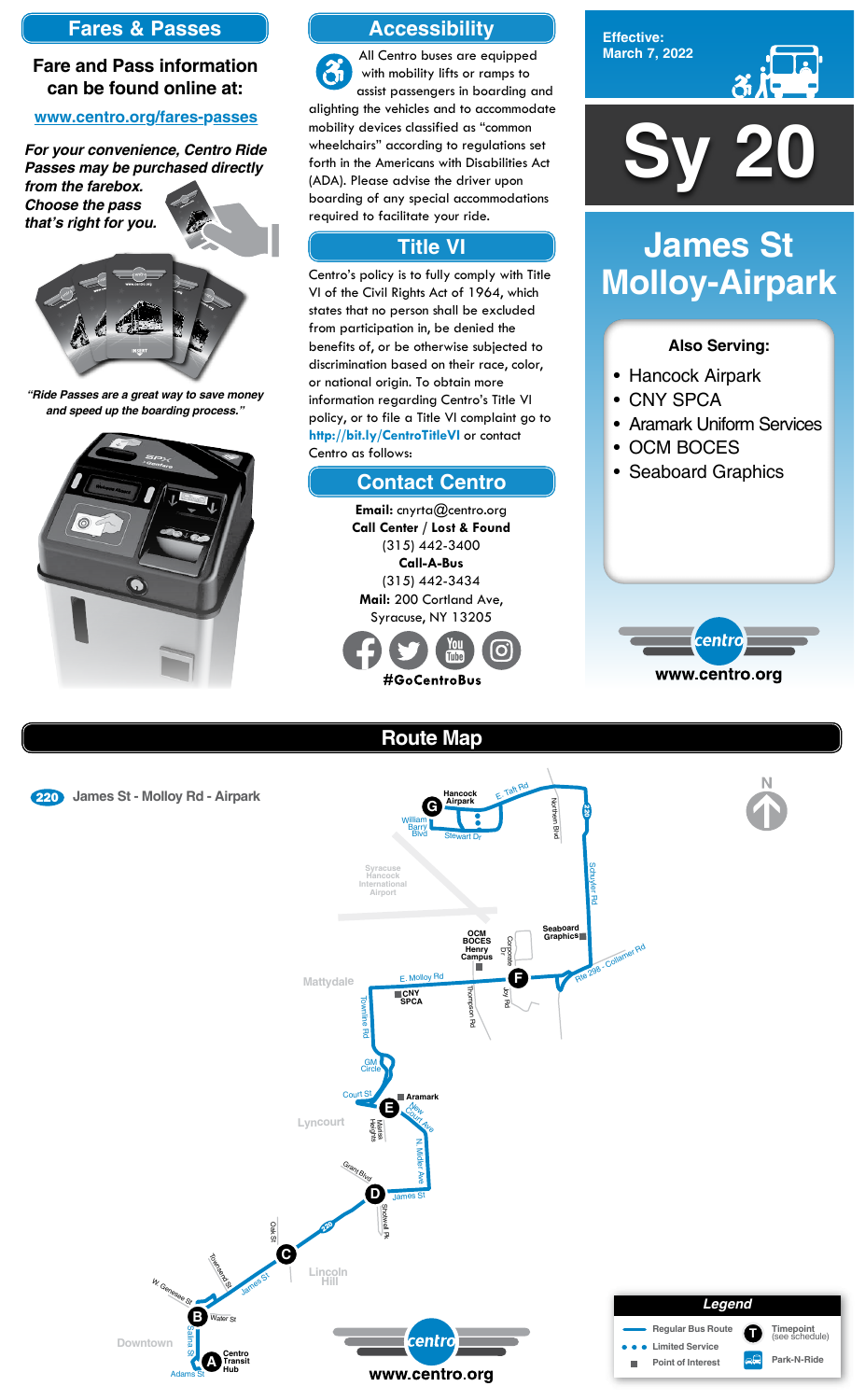

**Effective: March 7, 2022**



#### **Also Serving:**

- Hancock Airpark
- CNY SPCA
- Aramark Uniform Services
- OCM BOCES
- Seaboard Graphics



# **James St Molloy-Airpark**

# **Route Map**





E. Taft Rd **Hancock** <sup>220</sup> **James St - Molloy Rd - Airpark Airpark** Northern Northern Blvd **G** <u>ير</u><br>20 William Barry **Blvc** Blvd Stewart Dr Schuyler Rd **Syracuse Hancock Iernationa Airport Seaboard OCM**<br>**Graphics** 298 - Collamer Rd **BOCES** Corporate **Draw Rd Henry Campus** E. Molloy Rd **F Mattydale** Thompson Thompson Rd **CNY SPCA**

# **Accessibility**

# **Contact Centro**

# **Title VI**

All Centro buses are equipped  $\mathbf{\hat{a}}$ with mobility lifts or ramps to assist passengers in boarding and alighting the vehicles and to accommodate mobility devices classified as "common wheelchairs" according to regulations set forth in the Americans with Disabilities Act (ADA). Please advise the driver upon boarding of any special accommodations required to facilitate your ride.

Centro's policy is to fully comply with Title VI of the Civil Rights Act of 1964, which states that no person shall be excluded from participation in, be denied the benefits of, or be otherwise subjected to discrimination based on their race, color, or national origin. To obtain more information regarding Centro's Title VI policy, or to file a Title VI complaint go to **http://bit.ly/CentroTitleVI** or contact Centro as follows:

> **Email:** cnyrta@centro.org **Call Center / Lost & Found** (315) 442-3400 **Call-A-Bus** (315) 442-3434 **Mail:** 200 Cortland Ave, Syracuse, NY 13205



# **Fares & Passes**

#### **Fare and Pass information can be found online at:**

#### **www.centro.org/fares-passes**

*"Ride Passes are a great way to save money and speed up the boarding process."*



*For your convenience, Centro Ride Passes may be purchased directly from the farebox.*

*Choose the pass that's right for you.*